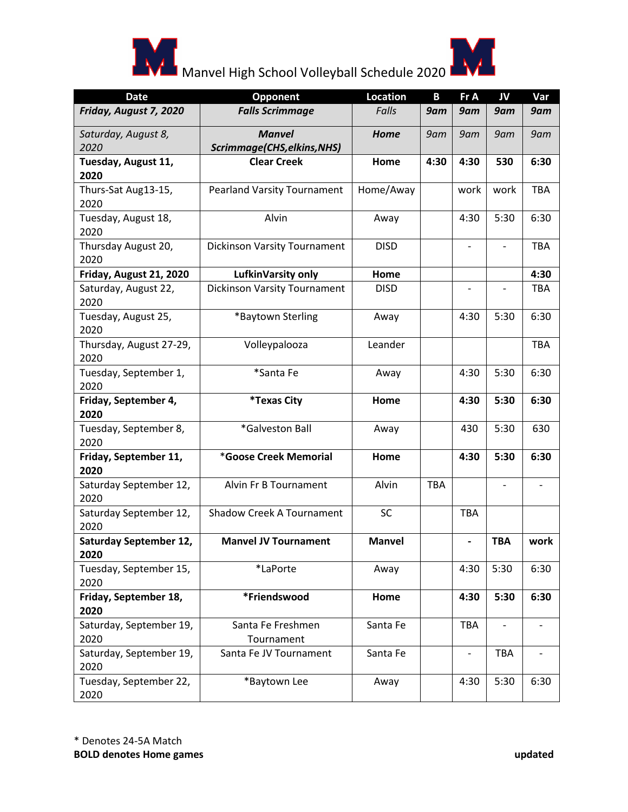



## Manvel High School Volleyball Schedule 2020

| <b>Date</b>                           | Opponent                            | <b>Location</b> | B          | Fr A                         | JV                       | Var        |
|---------------------------------------|-------------------------------------|-----------------|------------|------------------------------|--------------------------|------------|
| Friday, August 7, 2020                | <b>Falls Scrimmage</b>              | Falls           | 9am        | 9am                          | 9am                      | 9am        |
| Saturday, August 8,                   | <b>Manvel</b>                       | Home            | 9am        | 9am                          | 9am                      | 9am        |
| 2020                                  | Scrimmage(CHS, elkins, NHS)         |                 |            |                              |                          |            |
| Tuesday, August 11,                   | <b>Clear Creek</b>                  | Home            | 4:30       | 4:30                         | 530                      | 6:30       |
| 2020                                  |                                     |                 |            |                              |                          |            |
| Thurs-Sat Aug13-15,<br>2020           | <b>Pearland Varsity Tournament</b>  | Home/Away       |            | work                         | work                     | <b>TBA</b> |
| Tuesday, August 18,<br>2020           | Alvin                               | Away            |            | 4:30                         | 5:30                     | 6:30       |
| Thursday August 20,<br>2020           | <b>Dickinson Varsity Tournament</b> | <b>DISD</b>     |            |                              |                          | TBA        |
| Friday, August 21, 2020               | LufkinVarsity only                  | Home            |            |                              |                          | 4:30       |
| Saturday, August 22,<br>2020          | <b>Dickinson Varsity Tournament</b> | <b>DISD</b>     |            |                              | $\overline{\phantom{a}}$ | <b>TBA</b> |
| Tuesday, August 25,<br>2020           | *Baytown Sterling                   | Away            |            | 4:30                         | 5:30                     | 6:30       |
| Thursday, August 27-29,<br>2020       | Volleypalooza                       | Leander         |            |                              |                          | TBA        |
| Tuesday, September 1,<br>2020         | *Santa Fe                           | Away            |            | 4:30                         | 5:30                     | 6:30       |
| Friday, September 4,<br>2020          | <i><b>*Texas City</b></i>           | Home            |            | 4:30                         | 5:30                     | 6:30       |
| Tuesday, September 8,<br>2020         | *Galveston Ball                     | Away            |            | 430                          | 5:30                     | 630        |
| Friday, September 11,<br>2020         | *Goose Creek Memorial               | Home            |            | 4:30                         | 5:30                     | 6:30       |
| Saturday September 12,<br>2020        | Alvin Fr B Tournament               | Alvin           | <b>TBA</b> |                              | $\blacksquare$           |            |
| Saturday September 12,<br>2020        | Shadow Creek A Tournament           | SC              |            | <b>TBA</b>                   |                          |            |
| <b>Saturday September 12,</b><br>2020 | <b>Manvel JV Tournament</b>         | <b>Manvel</b>   |            | $\qquad \qquad \blacksquare$ | <b>TBA</b>               | work       |
| Tuesday, September 15,<br>2020        | *LaPorte                            | Away            |            | 4:30                         | 5:30                     | 6:30       |
| Friday, September 18,                 | *Friendswood                        | Home            |            | 4:30                         | 5:30                     | 6:30       |
| 2020                                  |                                     |                 |            |                              |                          |            |
| Saturday, September 19,               | Santa Fe Freshmen                   | Santa Fe        |            | <b>TBA</b>                   | $\overline{\phantom{a}}$ |            |
| 2020                                  | Tournament                          |                 |            |                              |                          |            |
| Saturday, September 19,<br>2020       | Santa Fe JV Tournament              | Santa Fe        |            |                              | TBA                      |            |
| Tuesday, September 22,<br>2020        | *Baytown Lee                        | Away            |            | 4:30                         | 5:30                     | 6:30       |